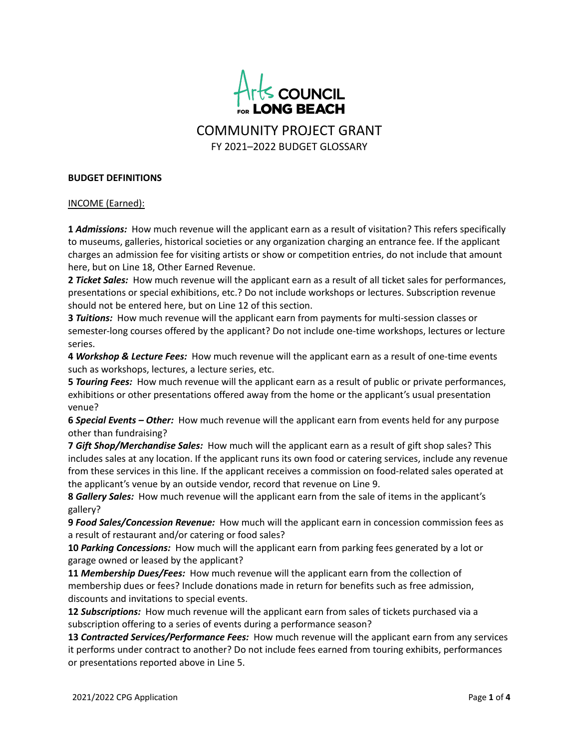

COMMUNITY PROJECT GRANT FY 2021–2022 BUDGET GLOSSARY

## **BUDGET DEFINITIONS**

## INCOME (Earned):

**1** *Admissions:* How much revenue will the applicant earn as a result of visitation? This refers specifically to museums, galleries, historical societies or any organization charging an entrance fee. If the applicant charges an admission fee for visiting artists or show or competition entries, do not include that amount here, but on Line 18, Other Earned Revenue.

**2** *Ticket Sales:* How much revenue will the applicant earn as a result of all ticket sales for performances, presentations or special exhibitions, etc.? Do not include workshops or lectures. Subscription revenue should not be entered here, but on Line 12 of this section.

**3** *Tuitions:* How much revenue will the applicant earn from payments for multi-session classes or semester-long courses offered by the applicant? Do not include one-time workshops, lectures or lecture series.

**4** *Workshop & Lecture Fees:* How much revenue will the applicant earn as a result of one-time events such as workshops, lectures, a lecture series, etc.

**5** *Touring Fees:* How much revenue will the applicant earn as a result of public or private performances, exhibitions or other presentations offered away from the home or the applicant's usual presentation venue?

**6** *Special Events – Other:* How much revenue will the applicant earn from events held for any purpose other than fundraising?

**7** *Gift Shop/Merchandise Sales:* How much will the applicant earn as a result of gift shop sales? This includes sales at any location. If the applicant runs its own food or catering services, include any revenue from these services in this line. If the applicant receives a commission on food-related sales operated at the applicant's venue by an outside vendor, record that revenue on Line 9.

**8** *Gallery Sales:* How much revenue will the applicant earn from the sale of items in the applicant's gallery?

**9** *Food Sales/Concession Revenue:* How much will the applicant earn in concession commission fees as a result of restaurant and/or catering or food sales?

**10** *Parking Concessions:* How much will the applicant earn from parking fees generated by a lot or garage owned or leased by the applicant?

**11** *Membership Dues/Fees:* How much revenue will the applicant earn from the collection of membership dues or fees? Include donations made in return for benefits such as free admission, discounts and invitations to special events.

**12** *Subscriptions:* How much revenue will the applicant earn from sales of tickets purchased via a subscription offering to a series of events during a performance season?

**13** *Contracted Services/Performance Fees:* How much revenue will the applicant earn from any services it performs under contract to another? Do not include fees earned from touring exhibits, performances or presentations reported above in Line 5.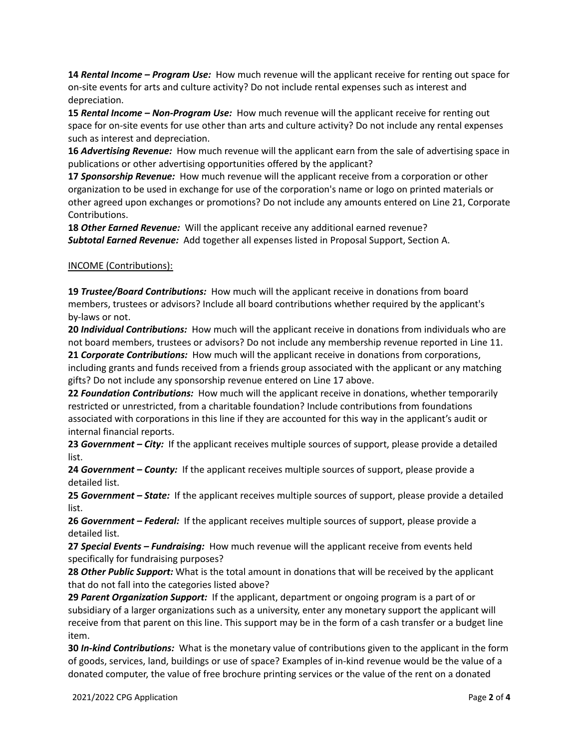**14** *Rental Income – Program Use:* How much revenue will the applicant receive for renting out space for on-site events for arts and culture activity? Do not include rental expenses such as interest and depreciation.

**15** *Rental Income – Non-Program Use:* How much revenue will the applicant receive for renting out space for on-site events for use other than arts and culture activity? Do not include any rental expenses such as interest and depreciation.

**16** *Advertising Revenue:* How much revenue will the applicant earn from the sale of advertising space in publications or other advertising opportunities offered by the applicant?

**17** *Sponsorship Revenue:* How much revenue will the applicant receive from a corporation or other organization to be used in exchange for use of the corporation's name or logo on printed materials or other agreed upon exchanges or promotions? Do not include any amounts entered on Line 21, Corporate Contributions.

**18** *Other Earned Revenue:* Will the applicant receive any additional earned revenue? *Subtotal Earned Revenue:* Add together all expenses listed in Proposal Support, Section A.

## INCOME (Contributions):

**19** *Trustee/Board Contributions:* How much will the applicant receive in donations from board members, trustees or advisors? Include all board contributions whether required by the applicant's by-laws or not.

**20** *Individual Contributions:* How much will the applicant receive in donations from individuals who are not board members, trustees or advisors? Do not include any membership revenue reported in Line 11. **21** *Corporate Contributions:* How much will the applicant receive in donations from corporations,

including grants and funds received from a friends group associated with the applicant or any matching gifts? Do not include any sponsorship revenue entered on Line 17 above.

**22** *Foundation Contributions:* How much will the applicant receive in donations, whether temporarily restricted or unrestricted, from a charitable foundation? Include contributions from foundations associated with corporations in this line if they are accounted for this way in the applicant's audit or internal financial reports.

**23** *Government – City:* If the applicant receives multiple sources of support, please provide a detailed list.

**24** *Government – County:* If the applicant receives multiple sources of support, please provide a detailed list.

**25** *Government – State:* If the applicant receives multiple sources of support, please provide a detailed list.

**26** *Government – Federal:* If the applicant receives multiple sources of support, please provide a detailed list.

**27** *Special Events – Fundraising:* How much revenue will the applicant receive from events held specifically for fundraising purposes?

**28** *Other Public Support:* What is the total amount in donations that will be received by the applicant that do not fall into the categories listed above?

**29** *Parent Organization Support:* If the applicant, department or ongoing program is a part of or subsidiary of a larger organizations such as a university, enter any monetary support the applicant will receive from that parent on this line. This support may be in the form of a cash transfer or a budget line item.

**30** *In-kind Contributions:* What is the monetary value of contributions given to the applicant in the form of goods, services, land, buildings or use of space? Examples of in-kind revenue would be the value of a donated computer, the value of free brochure printing services or the value of the rent on a donated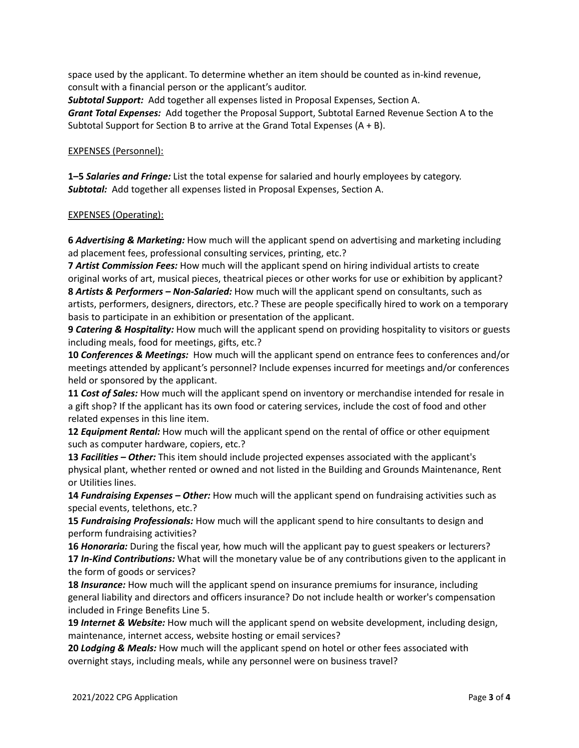space used by the applicant. To determine whether an item should be counted as in-kind revenue, consult with a financial person or the applicant's auditor.

*Subtotal Support:* Add together all expenses listed in Proposal Expenses, Section A. *Grant Total Expenses:* Add together the Proposal Support, Subtotal Earned Revenue Section A to the Subtotal Support for Section B to arrive at the Grand Total Expenses  $(A + B)$ .

EXPENSES (Personnel):

**1–5** *Salaries and Fringe:* List the total expense for salaried and hourly employees by category. *Subtotal:* Add together all expenses listed in Proposal Expenses, Section A.

## EXPENSES (Operating):

**6** *Advertising & Marketing:* How much will the applicant spend on advertising and marketing including ad placement fees, professional consulting services, printing, etc.?

**7** *Artist Commission Fees:* How much will the applicant spend on hiring individual artists to create original works of art, musical pieces, theatrical pieces or other works for use or exhibition by applicant? **8** *Artists & Performers – Non-Salaried:* How much will the applicant spend on consultants, such as artists, performers, designers, directors, etc.? These are people specifically hired to work on a temporary basis to participate in an exhibition or presentation of the applicant.

**9** *Catering & Hospitality:* How much will the applicant spend on providing hospitality to visitors or guests including meals, food for meetings, gifts, etc.?

**10** *Conferences & Meetings:* How much will the applicant spend on entrance fees to conferences and/or meetings attended by applicant's personnel? Include expenses incurred for meetings and/or conferences held or sponsored by the applicant.

**11** *Cost of Sales:* How much will the applicant spend on inventory or merchandise intended for resale in a gift shop? If the applicant has its own food or catering services, include the cost of food and other related expenses in this line item.

**12** *Equipment Rental:* How much will the applicant spend on the rental of office or other equipment such as computer hardware, copiers, etc.?

**13** *Facilities – Other:* This item should include projected expenses associated with the applicant's physical plant, whether rented or owned and not listed in the Building and Grounds Maintenance, Rent or Utilities lines.

**14** *Fundraising Expenses – Other:* How much will the applicant spend on fundraising activities such as special events, telethons, etc.?

**15** *Fundraising Professionals:* How much will the applicant spend to hire consultants to design and perform fundraising activities?

**16** *Honoraria:* During the fiscal year, how much will the applicant pay to guest speakers or lecturers? **17** *In-Kind Contributions:* What will the monetary value be of any contributions given to the applicant in the form of goods or services?

**18** *Insurance:* How much will the applicant spend on insurance premiums for insurance, including general liability and directors and officers insurance? Do not include health or worker's compensation included in Fringe Benefits Line 5.

**19** *Internet & Website:* How much will the applicant spend on website development, including design, maintenance, internet access, website hosting or email services?

**20** *Lodging & Meals:* How much will the applicant spend on hotel or other fees associated with overnight stays, including meals, while any personnel were on business travel?